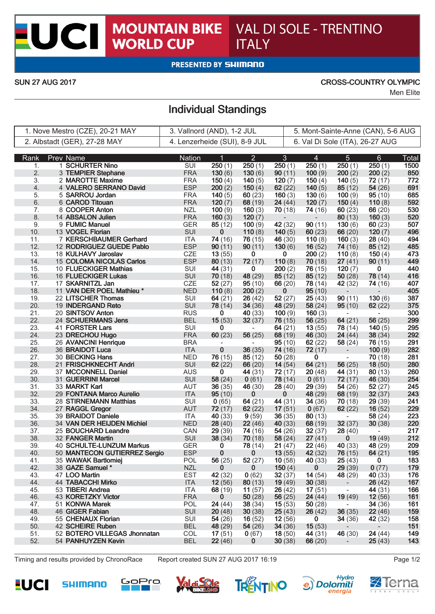## **MOUNTAIN BIKE<br>WORLD CUP** VAL DI SOLE - TRENTINO **ITALY**

**PRESENTED BY SHIMANO** 

 $\overline{\phantom{a}}$ 

CI

### SUN 27 AUG 2017 CROSS-COUNTRY OLYMPIC

Men Elite

# Individual Standings

| 1. Nove Mestro (CZE), 20-21 MAY |                            | 3. Vallnord (AND), 1-2 JUL                         |                   |                   | 5. Mont-Sainte-Anne (CAN), 5-6 AUG |                     |                          |                          |                          |              |
|---------------------------------|----------------------------|----------------------------------------------------|-------------------|-------------------|------------------------------------|---------------------|--------------------------|--------------------------|--------------------------|--------------|
| 2. Albstadt (GER), 27-28 MAY    |                            | 4. Lenzerheide (SUI), 8-9 JUL                      |                   |                   | 6. Val Di Sole (ITA), 26-27 AUG    |                     |                          |                          |                          |              |
|                                 |                            |                                                    |                   |                   |                                    |                     |                          |                          |                          |              |
| Rank                            | <b>Prev Name</b>           |                                                    | <b>Nation</b>     | 1                 | $\overline{2}$                     | $\mathbf{3}$        | 4                        | $5\phantom{.}$           | 6                        | <b>Total</b> |
| 1.                              | 1 SCHURTER Nino            |                                                    | SUI               | 250(1)            | 250(1)                             | 250(1)              | 250(1)                   | 250(1)                   | 250(1)                   | 1500         |
| 2.                              | 3 TEMPIER Stephane         |                                                    | <b>FRA</b>        | 130(6)            | 130(6)                             | 90(11)              | 100(9)                   | 200(2)                   | 200(2)                   | 850          |
| 3.                              | 2 MAROTTE Maxime           |                                                    | <b>FRA</b>        | 150 $(4)$         | 140 $(5)$                          | 120(7)              | 150 $(4)$                | 140 $(5)$                | 72(17)                   | 772          |
| 4.                              |                            | 4 VALERO SERRANO David                             | <b>ESP</b>        | 200(2)            | 150(4)                             | 62(22)              | 140 $(5)$                | 85(12)                   | 54(26)                   | 691          |
| 5.                              | 5 SARROU Jordan            |                                                    | <b>FRA</b>        | 140 $(5)$         | 60(23)                             | 160(3)              | 130(6)                   | 100(9)                   | 95(10)                   | 685          |
| 6.                              | 6 CAROD Titouan            |                                                    | <b>FRA</b>        | 120(7)            | 68(19)                             | 24(44)              | 120 $(7)$                | 150 $(4)$                | 110(8)                   | 592          |
| 7.                              | 8 COOPER Anton             |                                                    | <b>NZL</b>        | 100(9)            | 160(3)                             | 70(18)              | 74 (16)                  | 60(23)                   | 66(20)                   | 530          |
| 8.                              | 14 ABSALON Julien          |                                                    | <b>FRA</b>        | 160(3)            | 120(7)                             |                     | $\overline{\phantom{0}}$ | 80(13)                   | 160(3)                   | 520          |
| 9.                              | 9 FUMIC Manuel             |                                                    | <b>GER</b>        | 85(12)            | 100(9)                             | 42(32)              | 90(11)                   | 130(6)                   | 60(23)                   | 507          |
| 10.                             | 13 VOGEL Florian           |                                                    | SUI               | 0                 | 110(8)                             | 140 $(5)$           | 60(23)                   | 66(20)                   | 120(7)                   | 496          |
| 11.<br>12.                      |                            | 7 KERSCHBAUMER Gerhard<br>12 RODRIGUEZ GUEDE Pablo | ITA<br><b>ESP</b> | 74 (16)           | 76(15)                             | 46 $(30)$<br>130(6) | 110(8)                   | 160 $(3)$                | 28(40)                   | 494<br>485   |
|                                 |                            |                                                    | CZE               | 90(11)            | 90(11)<br>0                        | 0                   | 16(52)<br>200(2)         | 74(16)                   | 85(12)                   | 473          |
| 13.<br>14.                      | 18 KULHAVY Jaroslav        | 15 COLOMA NICOLAS Carlos                           | <b>ESP</b>        | 13(55)            |                                    | 110(8)              |                          | 110(8)                   | 150 $(4)$                | 449          |
| 15.                             | 10 FLUECKIGER Mathias      |                                                    | SUI               | 80(13)<br>44 (31) | 72(17)<br>0                        | 200(2)              | 70(18)<br>76(15)         | 27(41)<br>120 $(7)$      | 90(11)<br>0              | 440          |
| 16.                             | <b>16 FLUECKIGER Lukas</b> |                                                    | SUI               | 70(18)            | 48 (29)                            | 85(12)              | 85(12)                   | 50(28)                   | 78(14)                   | 416          |
| 17.                             | 17 SKARNITZL Jan           |                                                    | CZE               | 52(27)            | 95(10)                             | 66(20)              | 78 (14)                  | 42 (32)                  |                          | 407          |
| 18.                             |                            | 11 VAN DER POEL Mathieu *                          | <b>NED</b>        | 110(8)            | 200(2)                             | $\bf{0}$            | 95(10)                   |                          | 74 (16)                  | 405          |
| 19.                             | 22 LITSCHER Thomas         |                                                    | SUI               | 64(21)            | 26(42)                             | 52(27)              | 25(43)                   | 90(11)                   | 130(6)                   | 387          |
| 20.                             | 19 INDERGAND Reto          |                                                    | SUI               | 78(14)            | 34(36)                             | 48 (29)             | 58(24)                   | 95(10)                   | 62(22)                   | 375          |
| 21.                             | 20 SINTSOV Anton           |                                                    | <b>RUS</b>        | 0                 | 40(33)                             | 100(9)              | 160(3)                   |                          | $\overline{\phantom{a}}$ | 300          |
| 22.                             | 24 SCHUERMANS Jens         |                                                    | <b>BEL</b>        | 15(53)            | 32(37)                             | 76(15)              | 56(25)                   | 64(21)                   | 56(25)                   | 299          |
| 23.                             | 41 FORSTER Lars            |                                                    | SUI               | 0                 |                                    | 64(21)              | 13(55)                   | 78(14)                   | 140(5)                   | 295          |
| 24.                             | 23 DRECHOU Hugo            |                                                    | <b>FRA</b>        | 60(23)            | 56(25)                             | 68(19)              | 46(30)                   | 24(44)                   | 38(34)                   | 292          |
| 25.                             | 26 AVANCINI Henrique       |                                                    | <b>BRA</b>        |                   |                                    | 95(10)              | 62(22)                   | 58(24)                   | 76(15)                   | 291          |
| 26.                             | 36 BRAIDOT Luca            |                                                    | <b>ITA</b>        | $\mathbf 0$       | 36(35)                             | 74 (16)             | 72(17)                   | $\overline{\phantom{a}}$ | 100(9)                   | 282          |
| 27.                             | 30 BECKING Hans            |                                                    | <b>NED</b>        | 76(15)            | 85(12)                             | 50(28)              | $\bf{0}$                 | $\overline{\phantom{a}}$ | 70(18)                   | 281          |
| 28.                             | 21 FRISCHKNECHT Andri      |                                                    | SUI               | 62(22)            | 66(20)                             | 14(54)              | 64(21)                   | 56(25)                   | 18(50)                   | 280          |
| 29.                             | 37 MCCONNELL Daniel        |                                                    | <b>AUS</b>        | 0                 | 44 (31)                            | 72(17)              | 20(48)                   | 44 (31)                  | 80(13)                   | 260          |
| 30.                             | 31 GUERRINI Marcel         |                                                    | SUI               | 58(24)            | 0(61)                              | 78(14)              | 0(61)                    | 72(17)                   | 46 (30)                  | 254          |
| 31.                             | 33 MARKT Karl              |                                                    | AUT               | 36(35)            | 46 (30)                            | 28(40)              | 29(39)                   | 54(26)                   | 52(27)                   | 245          |
| 32.                             | 29 FONTANA Marco Aurelio   |                                                    | <b>ITA</b>        | 95(10)            | $\bf{0}$                           | 0                   | 48 (29)                  | 68(19)                   | 32(37)                   | 243          |
| 33.                             | 28 STIRNEMANN Matthias     |                                                    | SUI               | 0(65)             | 64(21)                             | 44 (31)             | 34(36)                   | 70(18)                   | 29(39)                   | 241          |
| 34.                             | 27 RAGGL Gregor            |                                                    | <b>AUT</b>        | 72(17)            | 62(22)                             | 17(51)              | 0(67)                    | 62(22)                   | 16(52)                   | 229          |
| 35.                             | 39 BRAIDOT Daniele         |                                                    | ITA               | 40 (33)           | 9(59)                              | 36(35)              | 80(13)                   | $\overline{\phantom{a}}$ | 58(24)                   | 223          |
| 36.                             |                            | 34 VAN DER HEIJDEN Michiel                         | <b>NED</b>        | 28(40)            | 22(46)                             | 40(33)              | 68(19)                   | 32(37)                   | 30(38)                   | 220          |
| 37.                             | 25 BOUCHARD Leandre        |                                                    | CAN               | 29(39)            | 74(16)                             | 54(26)              | 32(37)                   | 28(40)                   |                          | 217          |
| 38.                             | 32 FANGER Martin           |                                                    | SUI               | 38(34)            | 70(18)                             | 58(24)              | 27(41)                   | 0                        | 19(49)                   | 212          |
| 39.                             |                            | <b>40 SCHULTE-LUNZUM Markus</b>                    | <b>GER</b>        | $\bf{0}$          | 78 (14)                            | 21(47)              | 22(46)                   | 40(33)                   | 48 (29)                  | 209          |
| 40.                             |                            | 50 MANTECON GUTIERREZ Sergio                       | <b>ESP</b>        | $\bf{0}$          | $\bf{0}$                           | 13(55)              | 42(32)                   | 76(15)                   | 64(21)                   | 195          |
| 41.                             | 35 WAWAK Bartlomiej        |                                                    | <b>POL</b>        | 56 $(25)$         | 52(27)                             | 10(58)              | 40(33)                   | 25(43)                   | 0                        | 183          |
| 42.                             | 38 GAZE Samuel *           |                                                    | <b>NZL</b>        | $\mathbf{0}$      | $\mathbf{0}$                       | 150(4)              | $\mathbf{0}$             | 29(39)                   | 0(77)                    | 179          |
| 43.                             | 47 LOO Martin              |                                                    | <b>EST</b>        | 42 (32)           | 0(62)                              | 32(37)              | 14(54)                   | 48 (29)                  | 40(33)                   | 176          |
| 44.                             | 44 TABACCHI Mirko          |                                                    | <b>ITA</b>        | 12(56)            | 80(13)                             | 19(49)              | 30(38)                   | $\blacksquare$           | 26(42)                   | 167          |
| 45.                             | 53 TIBERI Andrea           |                                                    | <b>ITA</b>        | 68 (19)           | 11(57)                             | 26(42)              | 17(51)                   | $\overline{\phantom{a}}$ | 44 (31)                  | 166          |
| 46.                             | 43 KORETZKY Victor         |                                                    | <b>FRA</b>        | $\bf{0}$          | 50(28)                             | 56 $(25)$           | 24(44)                   | 19(49)                   | 12(56)                   | 161          |
| 47.                             | 51 KONWA Marek             |                                                    | <b>POL</b>        | 24(44)            | 38(34)                             | 15(53)              | 50(28)                   | $\sim$                   | 34(36)                   | 161          |
| 48.                             | 46 GIGER Fabian            |                                                    | SUI               | 20(48)            | 30(38)                             | 25(43)              | 26(42)                   | 36(35)                   | 22(46)                   | 159          |
| 49.                             | 55 CHENAUX Florian         |                                                    | SUI               | 54(26)            | 16(52)                             | 12(56)              | $\mathbf{0}$             | 34(36)                   | 42 (32)                  | 158          |
| 50.                             | 42 SCHEIRE Ruben           |                                                    | <b>BEL</b>        | 48 (29)           | 54(26)                             | 34(36)              | 15(53)                   | $\sim$                   | $\sim$                   | 151          |
| 51.                             |                            | 52 BOTERO VILLEGAS Jhonnatan                       | COL               | 17(51)            | 0(67)                              | 18(50)              | 44 (31)                  | 46 (30)                  | 24(44)                   | 149          |
| 52.                             | 54 PANHUYZEN Kevin         |                                                    | <b>BEL</b>        | 22(46)            | $\mathbf{0}$                       | 30(38)              | 66(20)                   | $\overline{\phantom{a}}$ | 25(43)                   | 143          |

Timing and results provided by ChronoRace Report created SUN 27 AUG 2017 16:19 Page 1/2